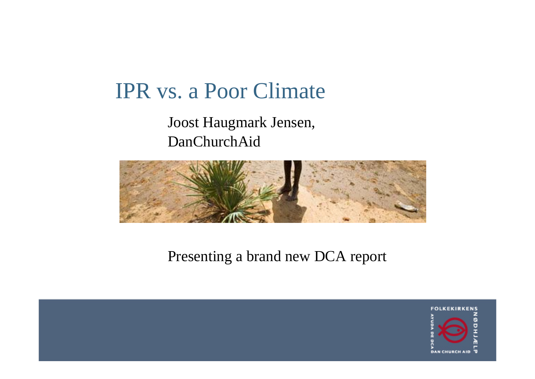## IPR vs. a Poor Climate

#### Joost Haugmark Jensen, DanChurchAid



#### Presenting a brand new DCA report

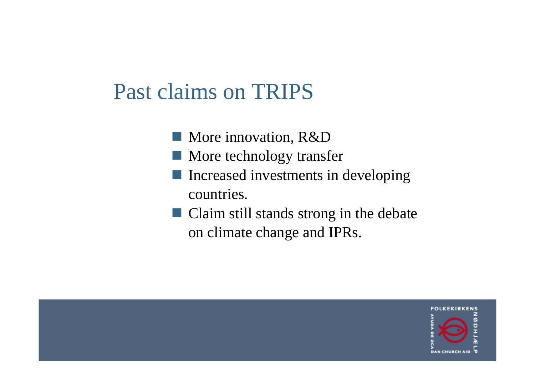## Past claims on TRIPS

- **More innovation, R&D**
- **More technology transfer**
- Increased investments in developing countries.
- Claim still stands strong in the debate on climate change and IPRs.

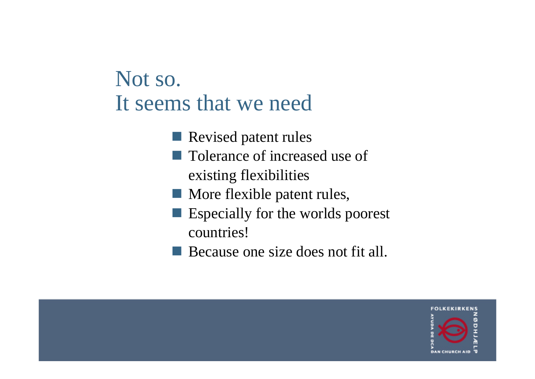## Not so. It seems that we need

- Revised patent rules
- Tolerance of increased use of existing flexibilities
- **More flexible patent rules,**
- Especially for the worlds poorest countries!
- Because one size does not fit all.

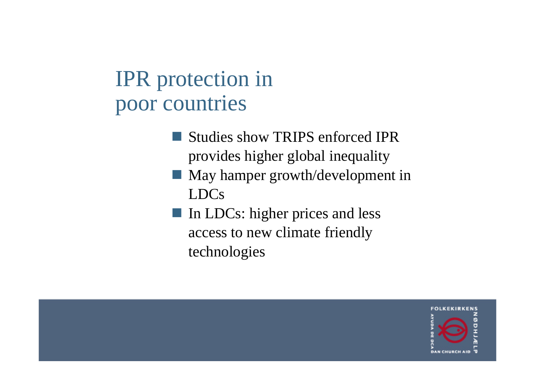# IPR protection in poor countries

- **Studies show TRIPS enforced IPR** provides higher global inequality
- **May hamper growth/development in** LDCs
- In LDCs: higher prices and less access to new climate friendly technologies

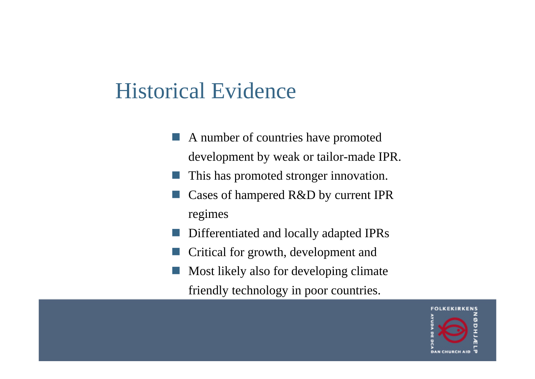## Historical Evidence

- A number of countries have promoted development by weak or tailor-made IPR.
- This has promoted stronger innovation.
- Cases of hampered R&D by current IPR regimes
- Differentiated and locally adapted IPRs
- Critical for growth, development and
- Most likely also for developing climate friendly technology in poor countries.

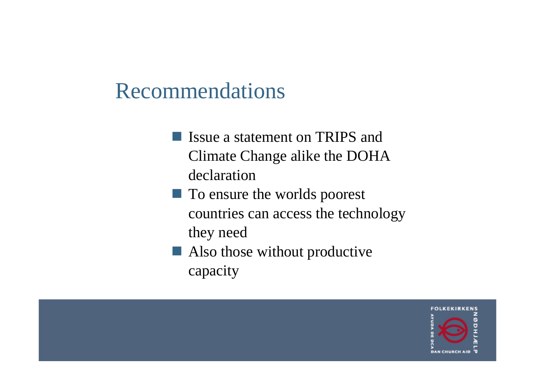## Recommendations

**If** Issue a statement on TRIPS and Climate Change alike the DOHA declaration

**The To ensure the worlds poorest** countries can access the technology they need

Also those without productive capacity

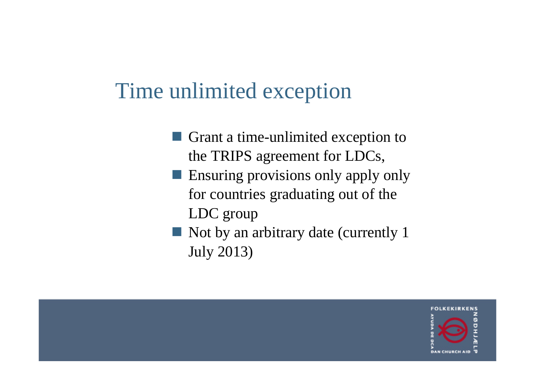#### Time unlimited exception

- Grant a time-unlimited exception to the TRIPS agreement for LDCs,
- **Ensuring provisions only apply only** for countries graduating out of the LDC group
- Not by an arbitrary date (currently 1 July 2013)

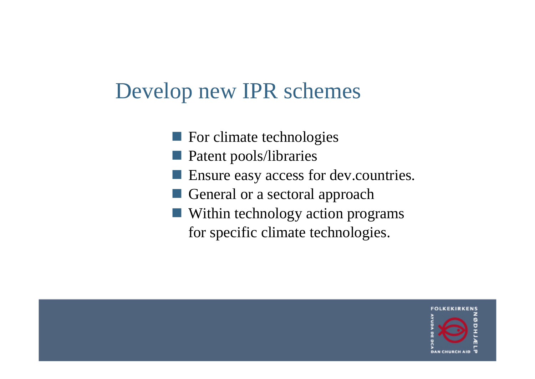# Develop new IPR schemes

- **For climate technologies**
- **Patent pools/libraries**
- Ensure easy access for dev.countries.
- General or a sectoral approach
- Within technology action programs for specific climate technologies.